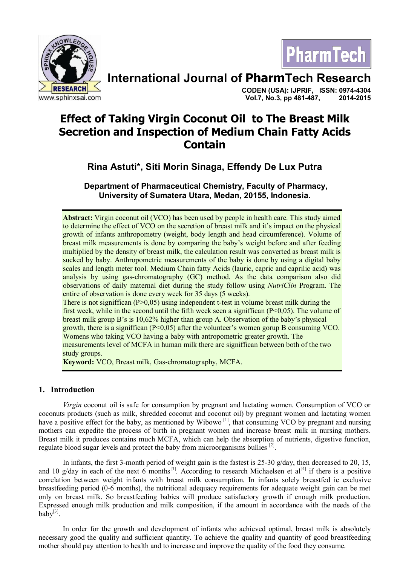



# **International Journal of PharmTech Research**

**CODEN (USA): IJPRIF, ISSN: 0974-4304 Vol.7, No.3, pp 481-487, 2014-2015**

# **Effect of Taking Virgin Coconut Oil to The Breast Milk Secretion and Inspection of Medium Chain Fatty Acids Contain**

# **Rina Astuti\*, Siti Morin Sinaga, Effendy De Lux Putra**

 **Department of Pharmaceutical Chemistry, Faculty of Pharmacy, University of Sumatera Utara, Medan, 20155, Indonesia.**

**Abstract:** Virgin coconut oil (VCO) has been used by people in health care. This study aimed to determine the effect of VCO on the secretion of breast milk and it's impact on the physical growth of infants anthropometry (weight, body length and head circumference). Volume of breast milk measurements is done by comparing the baby's weight before and after feeding multiplied by the density of breast milk, the calculation result was converted as breast milk is sucked by baby. Anthropometric measurements of the baby is done by using a digital baby scales and length meter tool. Medium Chain fatty Acids (lauric, capric and caprilic acid) was analysis by using gas-chromatography (GC) method. As the data comparison also did observations of daily maternal diet during the study follow using *NutriClin* Program. The entire of observation is done every week for 35 days (5 weeks). There is not signiffican  $(P>0,05)$  using independent t-test in volume breast milk during the first week, while in the second until the fifth week seen a signiffican (P<0,05). The volume of

breast milk group B's is 10,62% higher than group A. Observation of the baby's physical growth, there is a signiffican  $(P<0.05)$  after the volunteer's women gorup B consuming VCO. Womens who taking VCO having a baby with antropometric greater growth. The measurements level of MCFA in human milk there are signiffican between both of the two study groups.

**Keyword:** VCO, Breast milk, Gas-chromatography, MCFA.

## **1. Introduction**

*Virgin* coconut oil is safe for consumption by pregnant and lactating women. Consumption of VCO or coconuts products (such as milk, shredded coconut and coconut oil) by pregnant women and lactating women have a positive effect for the baby, as mentioned by Wibowo<sup>[1]</sup>, that consuming VCO by pregnant and nursing mothers can expedite the process of birth in pregnant women and increase breast milk in nursing mothers. Breast milk it produces contains much MCFA, which can help the absorption of nutrients, digestive function, regulate blood sugar levels and protect the baby from microorganisms bullies  $^{[2]}$ .

In infants, the first 3-month period of weight gain is the fastest is 25-30 g/day, then decreased to 20, 15, and 10 g/day in each of the next 6 months<sup>[3]</sup>. According to research Michaelsen et al<sup>[4]</sup> if there is a positive correlation between weight infants with breast milk consumption. In infants solely breastfed ie exclusive breastfeeding period (0-6 months), the nutritional adequacy requirements for adequate weight gain can be met only on breast milk. So breastfeeding babies will produce satisfactory growth if enough milk production. Expressed enough milk production and milk composition, if the amount in accordance with the needs of the  $ba\bar{b}y^{[3]}$ .

In order for the growth and development of infants who achieved optimal, breast milk is absolutely necessary good the quality and sufficient quantity. To achieve the quality and quantity of good breastfeeding mother should pay attention to health and to increase and improve the quality of the food they consume.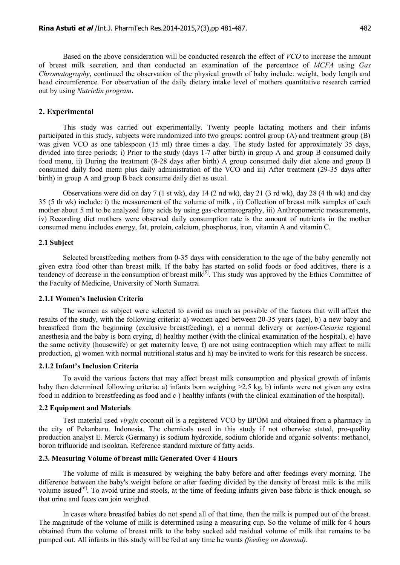Based on the above consideration will be conducted research the effect of *VCO* to increase the amount of breast milk secretion, and then conducted an examination of the percentace of *MCFA* using *Gas Chromatography*, continued the observation of the physical growth of baby include: weight, body length and head circumference. For observation of the daily dietary intake level of mothers quantitative research carried out by using *Nutriclin program*.

#### **2. Experimental**

This study was carried out experimentally. Twenty people lactating mothers and their infants participated in this study, subjects were randomized into two groups: control group (A) and treatment group (B) was given VCO as one tablespoon (15 ml) three times a day. The study lasted for approximately 35 days, divided into three periods; i) Prior to the study (days 1-7 after birth) in group A and group B consumed daily food menu, ii) During the treatment (8-28 days after birth) A group consumed daily diet alone and group B consumed daily food menu plus daily administration of the VCO and iii) After treatment (29-35 days after birth) in group A and group B back consume daily diet as usual.

Observations were did on day 7 (1 st wk), day 14 (2 nd wk), day 21 (3 rd wk), day 28 (4 th wk) and day 35 (5 th wk) include: i) the measurement of the volume of milk , ii) Collection of breast milk samples of each mother about 5 ml to be analyzed fatty acids by using gas-chromatography, iii) Anthropometric measurements, iv) Recording diet mothers were observed daily consumption rate is the amount of nutrients in the mother consumed menu includes energy, fat, protein, calcium, phosphorus, iron, vitamin A and vitamin C.

#### **2.1 Subject**

Selected breastfeeding mothers from 0-35 days with consideration to the age of the baby generally not given extra food other than breast milk. If the baby has started on solid foods or food additives, there is a tendency of decrease in the consumption of breast milk $[5]$ . This study was approved by the Ethics Committee of the Faculty of Medicine, University of North Sumatra.

#### **2.1.1 Women's Inclusion Criteria**

The women as subject were selected to avoid as much as possible of the factors that will affect the results of the study, with the following criteria: a) women aged between 20-35 years (age), b) a new baby and breastfeed from the beginning (exclusive breastfeeding), c) a normal delivery or *section-Cesaria* regional anesthesia and the baby is born crying, d) healthy mother (with the clinical examination of the hospital), e) have the same activity (housewife) or get maternity leave, f) are not using contraception which may affect to milk production, g) women with normal nutritional status and h) may be invited to work for this research be success.

### **2.1.2 Infant's Inclusion Criteria**

To avoid the various factors that may affect breast milk consumption and physical growth of infants baby then determined following criteria: a) infants born weighing >2.5 kg, b) infants were not given any extra food in addition to breastfeeding as food and c ) healthy infants (with the clinical examination of the hospital).

#### **2.2 Equipment and Materials**

Test material used *virgin* coconut oil is a registered VCO by BPOM and obtained from a pharmacy in the city of Pekanbaru. Indonesia. The chemicals used in this study if not otherwise stated, pro-quality production analyst E. Merck (Germany) is sodium hydroxide, sodium chloride and organic solvents: methanol, boron trifluoride and isooktan. Reference standard mixture of fatty acids.

#### **2.3. Measuring Volume of breast milk Generated Over 4 Hours**

The volume of milk is measured by weighing the baby before and after feedings every morning. The difference between the baby's weight before or after feeding divided by the density of breast milk is the milk volume issued<sup>[6]</sup>. To avoid urine and stools, at the time of feeding infants given base fabric is thick enough, so that urine and feces can join weighed.

In cases where breastfed babies do not spend all of that time, then the milk is pumped out of the breast. The magnitude of the volume of milk is determined using a measuring cup. So the volume of milk for 4 hours obtained from the volume of breast milk to the baby sucked add residual volume of milk that remains to be pumped out. All infants in this study will be fed at any time he wants *(feeding on demand).*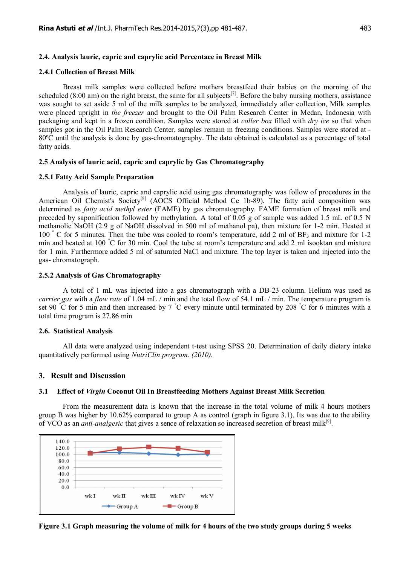### **2.4. Analysis lauric, capric and caprylic acid Percentace in Breast Milk**

#### **2.4.1 Collection of Breast Milk**

Breast milk samples were collected before mothers breastfeed their babies on the morning of the scheduled (8:00 am) on the right breast, the same for all subjects<sup>[7]</sup>. Before the baby nursing mothers, assistance was sought to set aside 5 ml of the milk samples to be analyzed, immediately after collection, Milk samples were placed upright in *the freezer* and brought to the Oil Palm Research Center in Medan, Indonesia with packaging and kept in a frozen condition. Samples were stored at *coller box* filled with *dry ice* so that when samples got in the Oil Palm Research Center, samples remain in freezing conditions. Samples were stored at - 80ºC until the analysis is done by gas-chromatography. The data obtained is calculated as a percentage of total fatty acids.

#### **2.5 Analysis of lauric acid, capric and caprylic by Gas Chromatography**

#### **2.5.1 Fatty Acid Sample Preparation**

Analysis of lauric, capric and caprylic acid using gas chromatography was follow of procedures in the American Oil Chemist's Society<sup>[8]</sup> (AOCS Official Method Ce 1b-89). The fatty acid composition was determined as *fatty acid methyl ester* (FAME) by gas chromatography. FAME formation of breast milk and preceded by saponification followed by methylation. A total of 0.05 g of sample was added 1.5 mL of 0.5 N methanolic NaOH (2.9 g of NaOH dissolved in 500 ml of methanol pa), then mixture for 1-2 min. Heated at 100 °C for 5 minutes. Then the tube was cooled to room's temperature, add 2 ml of BF<sub>3</sub> and mixture for 1-2 min and heated at 100 °C for 30 min. Cool the tube at room's temperature and add 2 ml isooktan and mixture for 1 min. Furthermore added 5 ml of saturated NaCl and mixture. The top layer is taken and injected into the gas- chromatograph.

#### **2.5.2 Analysis of Gas Chromatography**

A total of 1 mL was injected into a gas chromatograph with a DB-23 column. Helium was used as *carrier gas* with a *flow rate* of 1.04 mL / min and the total flow of 54.1 mL / min. The temperature program is set 90  $\degree$ C for 5 min and then increased by 7  $\degree$ C every minute until terminated by 208  $\degree$ C for 6 minutes with a total time program is 27.86 min

#### **2.6. Statistical Analysis**

All data were analyzed using independent t-test using SPSS 20. Determination of daily dietary intake quantitatively performed using *NutriClin program. (2010).*

#### **3. Result and Discussion**

#### **3.1 Effect of** *Virgin* **Coconut Oil In Breastfeeding Mothers Against Breast Milk Secretion**

From the measurement data is known that the increase in the total volume of milk 4 hours mothers group B was higher by 10.62% compared to group A as control (graph in figure 3.1). Its was due to the ability of VCO as an *anti-analgesic* that gives a sence of relaxation so increased secretion of breast milk<sup>[9]</sup>.



**Figure 3.1 Graph measuring the volume of milk for 4 hours of the two study groups during 5 weeks**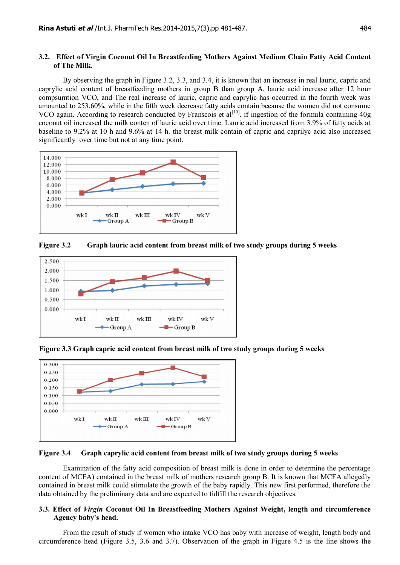#### **3.2. Effect of Virgin Coconut Oil In Breastfeeding Mothers Against Medium Chain Fatty Acid Content of The Milk.**

By observing the graph in Figure 3.2, 3.3, and 3.4, it is known that an increase in real lauric, capric and caprylic acid content of breastfeeding mothers in group B than group A. lauric acid increase after 12 hour compsumtion VCO, and The real increase of lauric, capric and caprylic has occurred in the fourth week was amounted to 253.60%, while in the fifth week decrease fatty acids contain because the women did not consume VCO again. According to research conducted by Franscois et  $al^{[10]}$ . if ingestion of the formula containing 40g coconut oil increased the milk conten of lauric acid over time. Lauric acid increased from 3.9% of fatty acids at baseline to 9.2% at 10 h and 9.6% at 14 h. the breast milk contain of capric and caprilyc acid also increased significantly over time but not at any time point.



**Figure 3.2 Graph lauric acid content from breast milk of two study groups during 5 weeks**



**Figure 3.3 Graph capric acid content from breast milk of two study groups during 5 weeks**



#### **Figure 3.4 Graph caprylic acid content from breast milk of two study groups during 5 weeks**

Examination of the fatty acid composition of breast milk is done in order to determine the percentage content of MCFA) contained in the breast milk of mothers research group B. It is known that MCFA allegedly contained in breast milk could stimulate the growth of the baby rapidly. This new first performed, therefore the data obtained by the preliminary data and are expected to fulfill the research objectives.

#### **3.3. Effect of** *Virgin* **Coconut Oil In Breastfeeding Mothers Against Weight, length and circumference Agency baby's head.**

From the result of study if women who intake VCO has baby with increase of weight, length body and circumference head (Figure 3.5, 3.6 and 3.7). Observation of the graph in Figure 4.5 is the line shows the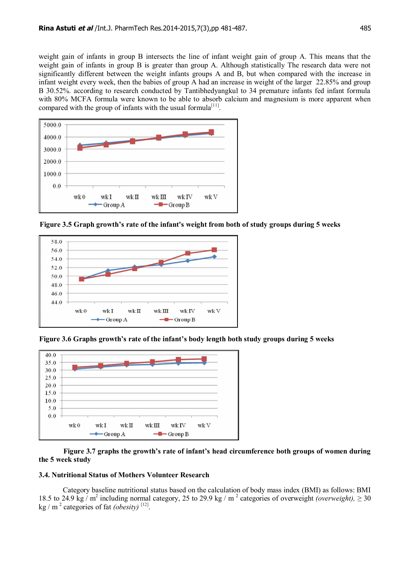weight gain of infants in group B intersects the line of infant weight gain of group A. This means that the weight gain of infants in group B is greater than group A. Although statistically The research data were not significantly different between the weight infants groups A and B, but when compared with the increase in infant weight every week, then the babies of group A had an increase in weight of the larger 22.85% and group B 30.52%. according to research conducted by Tantibhedyangkul to 34 premature infants fed infant formula with 80% MCFA formula were known to be able to absorb calcium and magnesium is more apparent when compared with the group of infants with the usual formula<sup>[11]</sup>.



**Figure 3.5 Graph growth's rate of the infant's weight from both of study groups during 5 weeks**



**Figure 3.6 Graphs growth's rate of the infant's body length both study groups during 5 weeks**



#### **Figure 3.7 graphs the growth's rate of infant's head circumference both groups of women during the 5 week study**

#### **3.4. Nutritional Status of Mothers Volunteer Research**

Category baseline nutritional status based on the calculation of body mass index (BMI) as follows: BMI 18.5 to 24.9 kg / m<sup>2</sup> including normal category, 25 to 29.9 kg / m<sup>2</sup> categories of overweight *(overweight)*,  $\geq$  30 kg /  $m^2$  categories of fat *(obesity)* [12].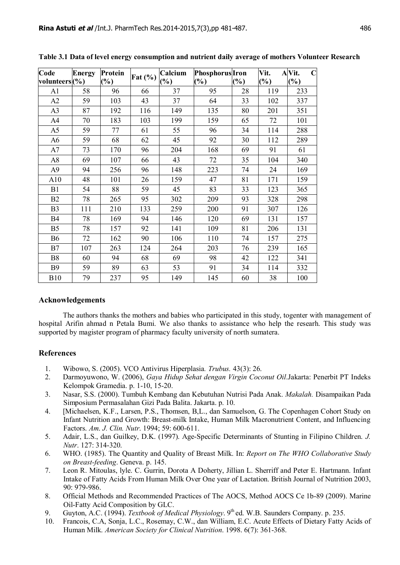| Code           | <b>Energy</b> | Protein | Fat $(\% )$ | Calcium | <b>Phosphorus</b> Iron |        | Vit.   | AVit.<br>C |
|----------------|---------------|---------|-------------|---------|------------------------|--------|--------|------------|
| volunteers(%)  |               | (%)     |             | $(\%)$  | $(\%)$                 | $(\%)$ | $(\%)$ | $(\%)$     |
| A <sub>1</sub> | 58            | 96      | 66          | 37      | 95                     | 28     | 119    | 233        |
| A2             | 59            | 103     | 43          | 37      | 64                     | 33     | 102    | 337        |
| A <sub>3</sub> | 87            | 192     | 116         | 149     | 135                    | 80     | 201    | 351        |
| A4             | 70            | 183     | 103         | 199     | 159                    | 65     | 72     | 101        |
| A <sub>5</sub> | 59            | 77      | 61          | 55      | 96                     | 34     | 114    | 288        |
| A6             | 59            | 68      | 62          | 45      | 92                     | 30     | 112    | 289        |
| A7             | 73            | 170     | 96          | 204     | 168                    | 69     | 91     | 61         |
| A8             | 69            | 107     | 66          | 43      | 72                     | 35     | 104    | 340        |
| A <sub>9</sub> | 94            | 256     | 96          | 148     | 223                    | 74     | 24     | 169        |
| A10            | 48            | 101     | 26          | 159     | 47                     | 81     | 171    | 159        |
| B1             | 54            | 88      | 59          | 45      | 83                     | 33     | 123    | 365        |
| B2             | 78            | 265     | 95          | 302     | 209                    | 93     | 328    | 298        |
| B <sub>3</sub> | 111           | 210     | 133         | 259     | 200                    | 91     | 307    | 126        |
| B4             | 78            | 169     | 94          | 146     | 120                    | 69     | 131    | 157        |
| B <sub>5</sub> | 78            | 157     | 92          | 141     | 109                    | 81     | 206    | 131        |
| <b>B6</b>      | 72            | 162     | 90          | 106     | 110                    | 74     | 157    | 275        |
| B7             | 107           | 263     | 124         | 264     | 203                    | 76     | 239    | 165        |
| <b>B8</b>      | 60            | 94      | 68          | 69      | 98                     | 42     | 122    | 341        |
| <b>B</b> 9     | 59            | 89      | 63          | 53      | 91                     | 34     | 114    | 332        |
| <b>B10</b>     | 79            | 237     | 95          | 149     | 145                    | 60     | 38     | 100        |

**Table 3.1 Data of level energy consumption and nutrient daily average of mothers Volunteer Research**

#### **Acknowledgements**

The authors thanks the mothers and babies who participated in this study, togenter with management of hospital Arifin ahmad n Petala Bumi. We also thanks to assistance who help the researh. This study was supported by magister program of pharmacy faculty university of north sumatera.

#### **References**

- 1. Wibowo, S. (2005). VCO Antivirus Hiperplasia*. Trubus.* 43(3): 26.
- 2. Darmoyuwono, W. (2006), *Gaya Hidup Sehat dengan Virgin Coconut Oil*.Jakarta: Penerbit PT Indeks Kelompok Gramedia. p. 1-10, 15-20.
- 3. Nasar, S.S. (2000). Tumbuh Kembang dan Kebutuhan Nutrisi Pada Anak. *Makalah.* Disampaikan Pada Simposium Permasalahan Gizi Pada Balita. Jakarta. p. 10.
- 4. [Michaelsen, K.F., Larsen, P.S., Thomsen, B,L., dan Samuelson, G. The Copenhagen Cohort Study on Infant Nutrition and Growth: Breast-milk Intake, Human Milk Macronutrient Content, and Influencing Factors. *Am*. *J. Clin. Nutr*. 1994; 59: 600-611.
- 5. Adair, L.S., dan Guilkey, D.K. (1997). Age-Specific Determinants of Stunting in Filipino Children. *J. Nutr*. 127: 314-320.
- 6. WHO. (1985). The Quantity and Quality of Breast Milk. In: *Report on The WHO Collaborative Study on Breast-feeding*. Geneva. p. 145.
- 7. Leon R. Mitoulas, lyle. C. Gurrin, Dorota A Doherty, Jillian L. Sherriff and Peter E. Hartmann. Infant Intake of Fatty Acids From Human Milk Over One year of Lactation. British Journal of Nutrition 2003, 90: 979-986.
- 8. Official Methods and Recommended Practices of The AOCS, Method AOCS Ce 1b-89 (2009). Marine Oil-Fatty Acid Composition by GLC.
- 9. Guyton, A.C. (1994). *Textbook of Medical Physiology*. 9<sup>th</sup> ed. W.B. Saunders Company. p. 235.
- 10. Francois, C.A, Sonja, L.C., Rosemay, C.W., dan William, E.C. Acute Effects of Dietary Fatty Acids of Human Milk. *American Society for Clinical Nutrition*. 1998. 6(7): 361-368.